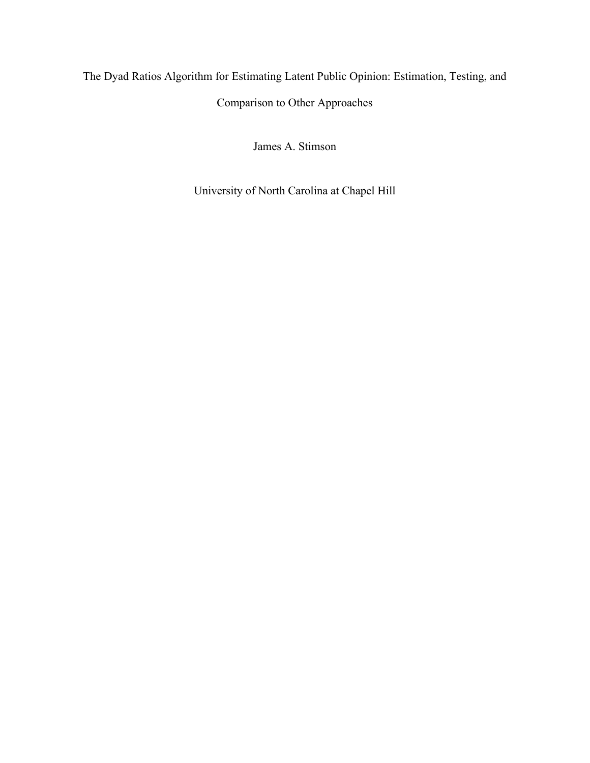# The Dyad Ratios Algorithm for Estimating Latent Public Opinion: Estimation, Testing, and Comparison to Other Approaches

James A. Stimson

University of North Carolina at Chapel Hill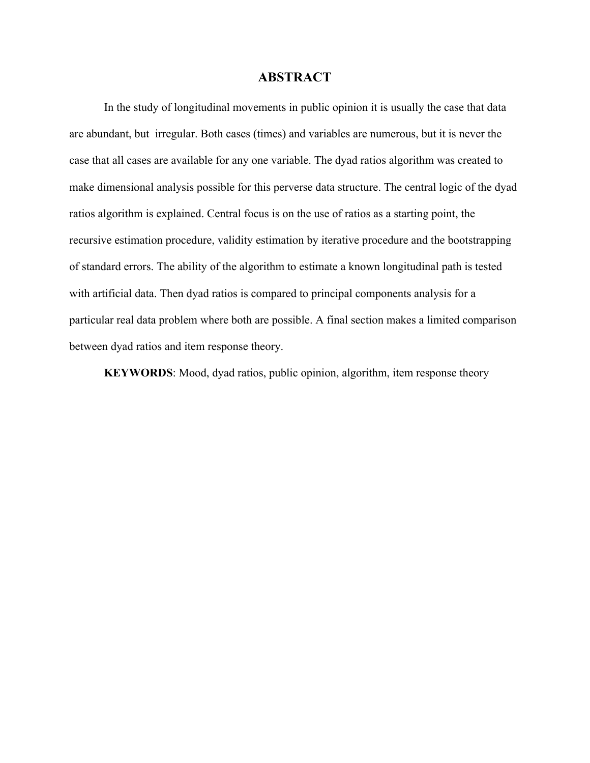# **ABSTRACT**

In the study of longitudinal movements in public opinion it is usually the case that data are abundant, but irregular. Both cases (times) and variables are numerous, but it is never the case that all cases are available for any one variable. The dyad ratios algorithm was created to make dimensional analysis possible for this perverse data structure. The central logic of the dyad ratios algorithm is explained. Central focus is on the use of ratios as a starting point, the recursive estimation procedure, validity estimation by iterative procedure and the bootstrapping of standard errors. The ability of the algorithm to estimate a known longitudinal path is tested with artificial data. Then dyad ratios is compared to principal components analysis for a particular real data problem where both are possible. A final section makes a limited comparison between dyad ratios and item response theory.

**KEYWORDS**: Mood, dyad ratios, public opinion, algorithm, item response theory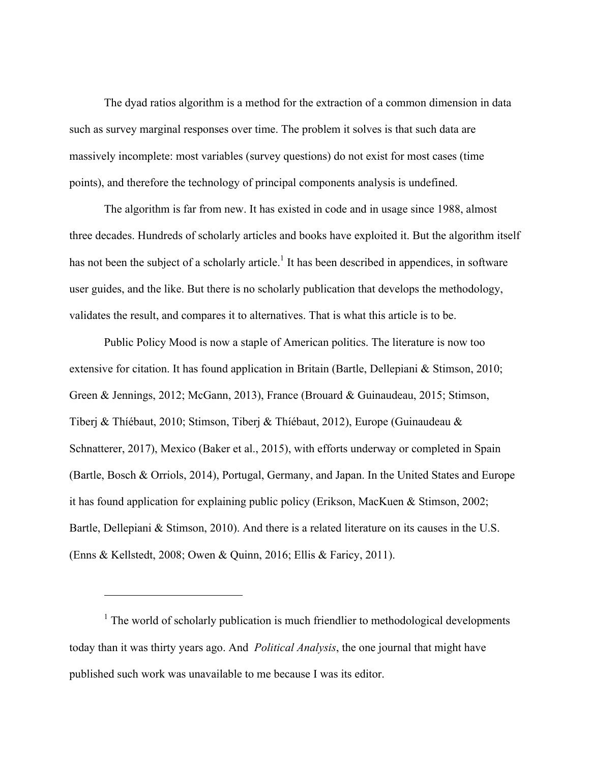The dyad ratios algorithm is a method for the extraction of a common dimension in data such as survey marginal responses over time. The problem it solves is that such data are massively incomplete: most variables (survey questions) do not exist for most cases (time points), and therefore the technology of principal components analysis is undefined.

The algorithm is far from new. It has existed in code and in usage since 1988, almost three decades. Hundreds of scholarly articles and books have exploited it. But the algorithm itself has not been the subject of a scholarly article.<sup>1</sup> It has been described in appendices, in software user guides, and the like. But there is no scholarly publication that develops the methodology, validates the result, and compares it to alternatives. That is what this article is to be.

Public Policy Mood is now a staple of American politics. The literature is now too extensive for citation. It has found application in Britain (Bartle, Dellepiani & Stimson, 2010; Green & Jennings, 2012; McGann, 2013), France (Brouard & Guinaudeau, 2015; Stimson, Tiberj & Thíébaut, 2010; Stimson, Tiberj & Thíébaut, 2012), Europe (Guinaudeau & Schnatterer, 2017), Mexico (Baker et al., 2015), with efforts underway or completed in Spain (Bartle, Bosch & Orriols, 2014), Portugal, Germany, and Japan. In the United States and Europe it has found application for explaining public policy (Erikson, MacKuen & Stimson, 2002; Bartle, Dellepiani & Stimson, 2010). And there is a related literature on its causes in the U.S. (Enns & Kellstedt, 2008; Owen & Quinn, 2016; Ellis & Faricy, 2011).

 $<sup>1</sup>$  The world of scholarly publication is much friendlier to methodological developments</sup> today than it was thirty years ago. And *Political Analysis*, the one journal that might have published such work was unavailable to me because I was its editor.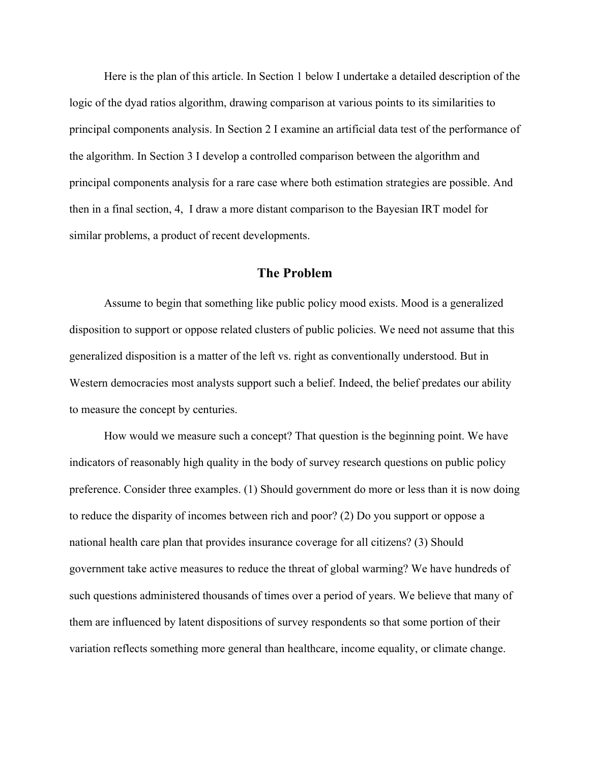Here is the plan of this article. In Section 1 below I undertake a detailed description of the logic of the dyad ratios algorithm, drawing comparison at various points to its similarities to principal components analysis. In Section 2 I examine an artificial data test of the performance of the algorithm. In Section 3 I develop a controlled comparison between the algorithm and principal components analysis for a rare case where both estimation strategies are possible. And then in a final section, 4, I draw a more distant comparison to the Bayesian IRT model for similar problems, a product of recent developments.

### **The Problem**

Assume to begin that something like public policy mood exists. Mood is a generalized disposition to support or oppose related clusters of public policies. We need not assume that this generalized disposition is a matter of the left vs. right as conventionally understood. But in Western democracies most analysts support such a belief. Indeed, the belief predates our ability to measure the concept by centuries.

How would we measure such a concept? That question is the beginning point. We have indicators of reasonably high quality in the body of survey research questions on public policy preference. Consider three examples. (1) Should government do more or less than it is now doing to reduce the disparity of incomes between rich and poor? (2) Do you support or oppose a national health care plan that provides insurance coverage for all citizens? (3) Should government take active measures to reduce the threat of global warming? We have hundreds of such questions administered thousands of times over a period of years. We believe that many of them are influenced by latent dispositions of survey respondents so that some portion of their variation reflects something more general than healthcare, income equality, or climate change.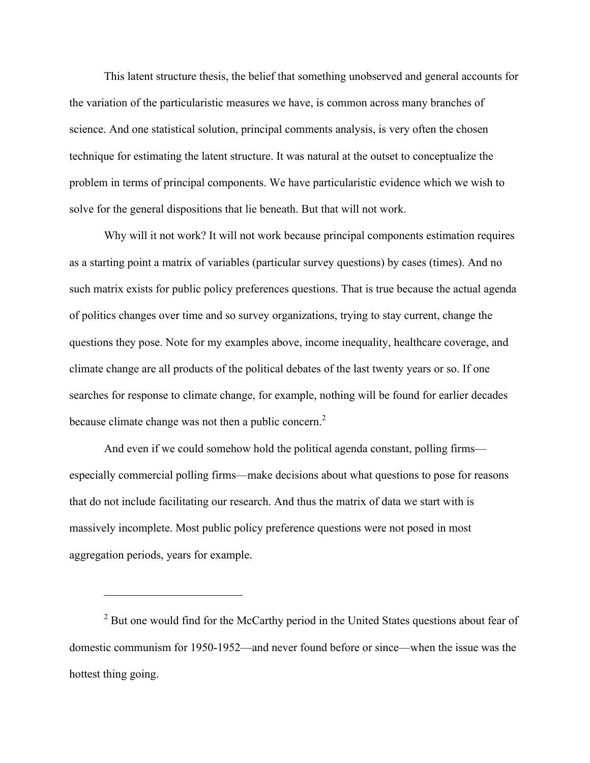This latent structure thesis, the belief that something unobserved and general accounts for the variation of the particularistic measures we have, is common across many branches of science. And one statistical solution, principal comments analysis, is very often the chosen technique for estimating the latent structure. It was natural at the outset to conceptualize the problem in terms of principal components. We have particularistic evidence which we wish to solve for the general dispositions that lie beneath. But that will not work.

Why will it not work? It will not work because principal components estimation requires as a starting point a matrix of variables (particular survey questions) by cases (times). And no such matrix exists for public policy preferences questions. That is true because the actual agenda of politics changes over time and so survey organizations, trying to stay current, change the questions they pose. Note for my examples above, income inequality, healthcare coverage, and climate change are all products of the political debates of the last twenty years or so. If one searches for response to climate change, for example, nothing will be found for earlier decades because climate change was not then a public concern.<sup>2</sup>

And even if we could somehow hold the political agenda constant, polling firms especially commercial polling firms—make decisions about what questions to pose for reasons that do not include facilitating our research. And thus the matrix of data we start with is massively incomplete. Most public policy preference questions were not posed in most aggregation periods, years for example.

 $2^2$  But one would find for the McCarthy period in the United States questions about fear of domestic communism for 1950-1952—and never found before or since—when the issue was the hottest thing going.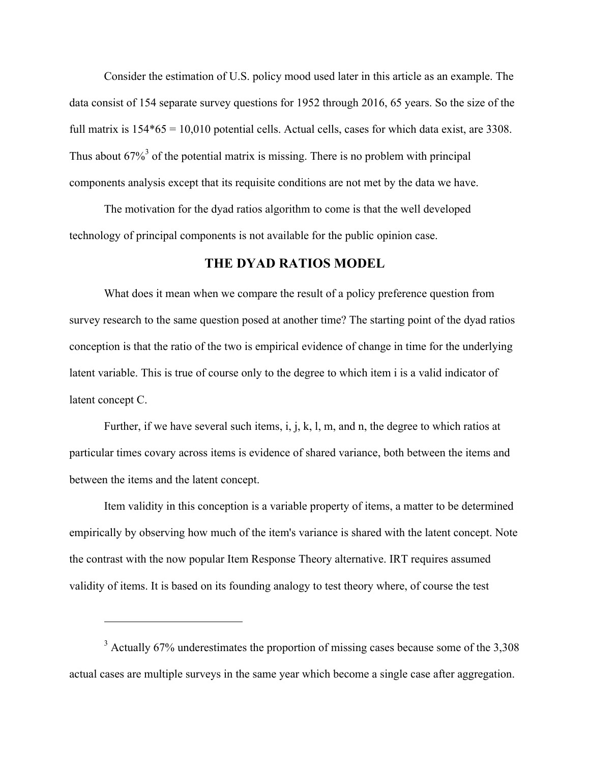Consider the estimation of U.S. policy mood used later in this article as an example. The data consist of 154 separate survey questions for 1952 through 2016, 65 years. So the size of the full matrix is  $154*65 = 10,010$  potential cells. Actual cells, cases for which data exist, are 3308. Thus about  $67\%$ <sup>3</sup> of the potential matrix is missing. There is no problem with principal components analysis except that its requisite conditions are not met by the data we have.

The motivation for the dyad ratios algorithm to come is that the well developed technology of principal components is not available for the public opinion case.

# **THE DYAD RATIOS MODEL**

What does it mean when we compare the result of a policy preference question from survey research to the same question posed at another time? The starting point of the dyad ratios conception is that the ratio of the two is empirical evidence of change in time for the underlying latent variable. This is true of course only to the degree to which item i is a valid indicator of latent concept C.

Further, if we have several such items, i, j, k, l, m, and n, the degree to which ratios at particular times covary across items is evidence of shared variance, both between the items and between the items and the latent concept.

Item validity in this conception is a variable property of items, a matter to be determined empirically by observing how much of the item's variance is shared with the latent concept. Note the contrast with the now popular Item Response Theory alternative. IRT requires assumed validity of items. It is based on its founding analogy to test theory where, of course the test

<sup>&</sup>lt;sup>3</sup> Actually 67% underestimates the proportion of missing cases because some of the 3,308 actual cases are multiple surveys in the same year which become a single case after aggregation.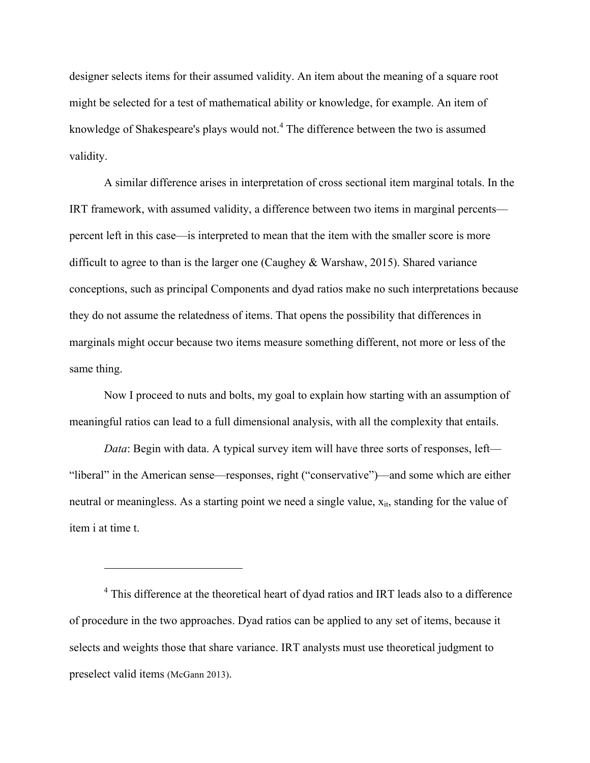designer selects items for their assumed validity. An item about the meaning of a square root might be selected for a test of mathematical ability or knowledge, for example. An item of knowledge of Shakespeare's plays would not.<sup>4</sup> The difference between the two is assumed validity.

A similar difference arises in interpretation of cross sectional item marginal totals. In the IRT framework, with assumed validity, a difference between two items in marginal percents percent left in this case—is interpreted to mean that the item with the smaller score is more difficult to agree to than is the larger one (Caughey & Warshaw, 2015). Shared variance conceptions, such as principal Components and dyad ratios make no such interpretations because they do not assume the relatedness of items. That opens the possibility that differences in marginals might occur because two items measure something different, not more or less of the same thing.

Now I proceed to nuts and bolts, my goal to explain how starting with an assumption of meaningful ratios can lead to a full dimensional analysis, with all the complexity that entails.

*Data*: Begin with data. A typical survey item will have three sorts of responses, left— "liberal" in the American sense—responses, right ("conservative")—and some which are either neutral or meaningless. As a starting point we need a single value,  $x_{it}$ , standing for the value of item i at time t.

 $4$  This difference at the theoretical heart of dyad ratios and IRT leads also to a difference of procedure in the two approaches. Dyad ratios can be applied to any set of items, because it selects and weights those that share variance. IRT analysts must use theoretical judgment to preselect valid items (McGann 2013).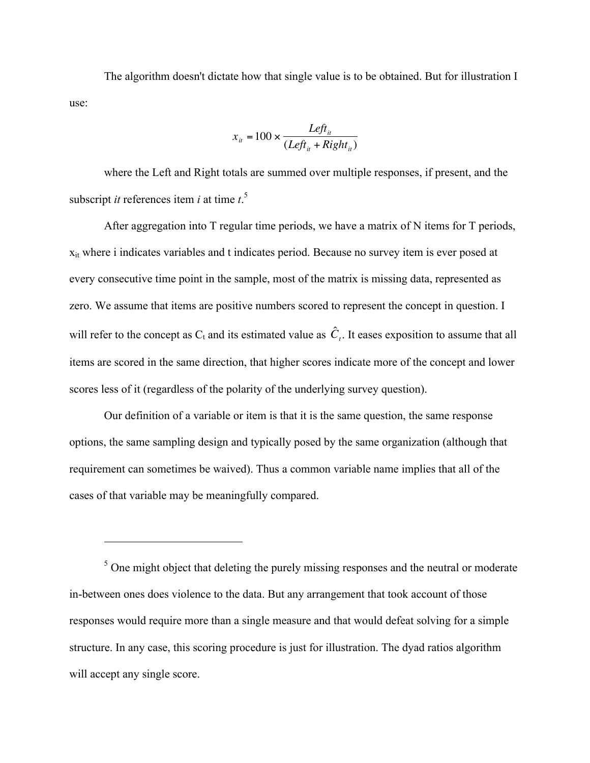The algorithm doesn't dictate how that single value is to be obtained. But for illustration I use:

$$
x_{it} = 100 \times \frac{Left_{it}}{(Left_{it} + Right_{it})}
$$

subscript *it* references item *i* at time  $t^5$ . where the Left and Right totals are summed over multiple responses, if present, and the

After aggregation into T regular time periods, we have a matrix of N items for T periods,  $x_{it}$  where i indicates variables and t indicates period. Because no survey item is ever posed at every consecutive time point in the sample, most of the matrix is missing data, represented as zero. We assume that items are positive numbers scored to represent the concept in question. I will refer to the concept as  $C_t$  and its estimated value as  $\hat{C}_t$ . It eases exposition to assume that all scores less of it (regardless of the polarity of the underlying survey question). items are scored in the same direction, that higher scores indicate more of the concept and lower

Our definition of a variable or item is that it is the same question, the same response options, the same sampling design and typically posed by the same organization (although that requirement can sometimes be waived). Thus a common variable name implies that all of the cases of that variable may be meaningfully compared.

 $\overline{a}$ 

 $<sup>5</sup>$  One might object that deleting the purely missing responses and the neutral or moderate</sup> in-between ones does violence to the data. But any arrangement that took account of those responses would require more than a single measure and that would defeat solving for a simple structure. In any case, this scoring procedure is just for illustration. The dyad ratios algorithm will accept any single score.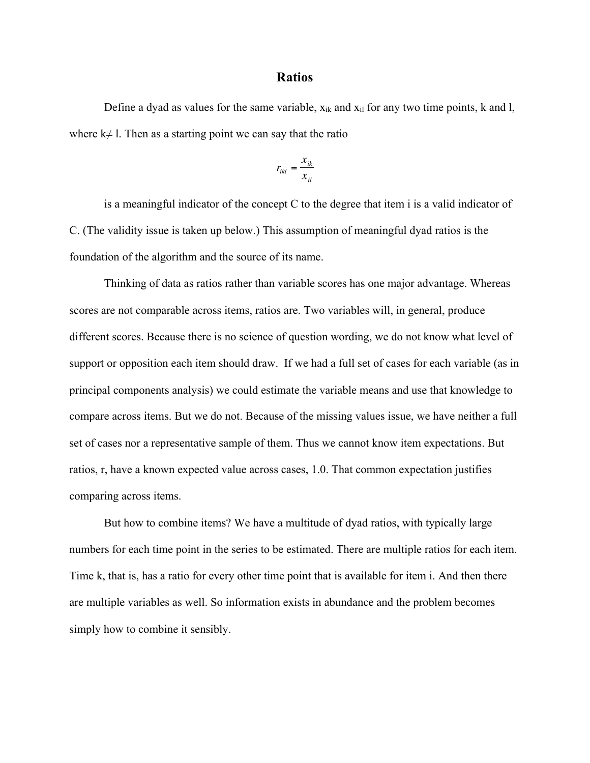### **Ratios**

Define a dyad as values for the same variable,  $x_{ik}$  and  $x_{il}$  for any two time points, k and l, where  $k \neq 1$ . Then as a starting point we can say that the ratio

$$
r_{ikl} = \frac{x_{ik}}{x_{il}}
$$

€ C. (The validity issue is taken up below.) This assumption of meaningful dyad ratios is the is a meaningful indicator of the concept C to the degree that item i is a valid indicator of foundation of the algorithm and the source of its name.

Thinking of data as ratios rather than variable scores has one major advantage. Whereas scores are not comparable across items, ratios are. Two variables will, in general, produce different scores. Because there is no science of question wording, we do not know what level of support or opposition each item should draw. If we had a full set of cases for each variable (as in principal components analysis) we could estimate the variable means and use that knowledge to compare across items. But we do not. Because of the missing values issue, we have neither a full set of cases nor a representative sample of them. Thus we cannot know item expectations. But ratios, r, have a known expected value across cases, 1.0. That common expectation justifies comparing across items.

But how to combine items? We have a multitude of dyad ratios, with typically large numbers for each time point in the series to be estimated. There are multiple ratios for each item. Time k, that is, has a ratio for every other time point that is available for item i. And then there are multiple variables as well. So information exists in abundance and the problem becomes simply how to combine it sensibly.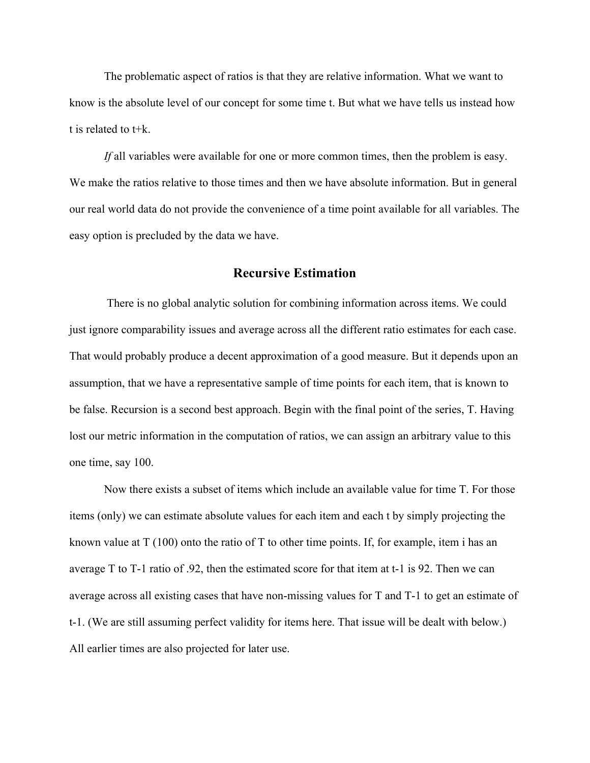The problematic aspect of ratios is that they are relative information. What we want to know is the absolute level of our concept for some time t. But what we have tells us instead how t is related to t+k.

*If* all variables were available for one or more common times, then the problem is easy. We make the ratios relative to those times and then we have absolute information. But in general our real world data do not provide the convenience of a time point available for all variables. The easy option is precluded by the data we have.

### **Recursive Estimation**

 There is no global analytic solution for combining information across items. We could just ignore comparability issues and average across all the different ratio estimates for each case. That would probably produce a decent approximation of a good measure. But it depends upon an assumption, that we have a representative sample of time points for each item, that is known to be false. Recursion is a second best approach. Begin with the final point of the series, T. Having lost our metric information in the computation of ratios, we can assign an arbitrary value to this one time, say 100.

Now there exists a subset of items which include an available value for time T. For those items (only) we can estimate absolute values for each item and each t by simply projecting the known value at  $T(100)$  onto the ratio of T to other time points. If, for example, item i has an average T to T-1 ratio of .92, then the estimated score for that item at t-1 is 92. Then we can average across all existing cases that have non-missing values for T and T-1 to get an estimate of t-1. (We are still assuming perfect validity for items here. That issue will be dealt with below.) All earlier times are also projected for later use.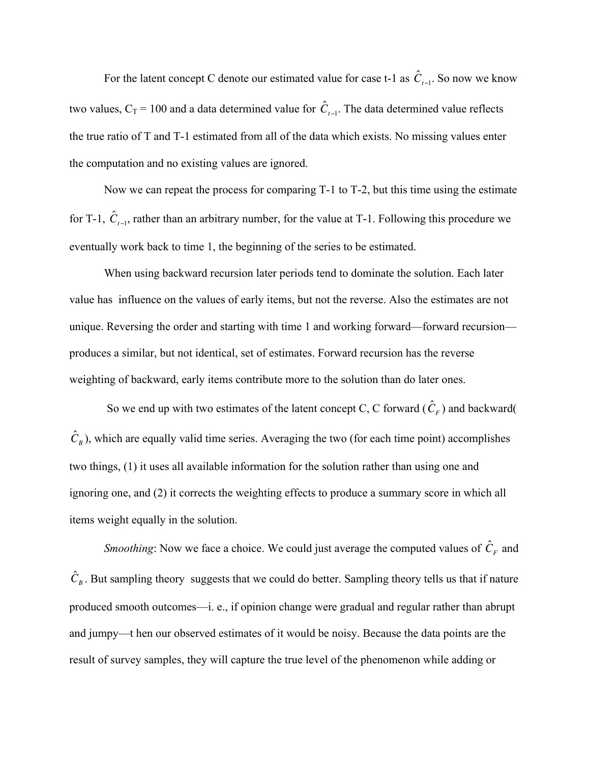For the latent concept C denote our estimated value for case t-1 as  $\hat{C}_{t-1}$ . So now we know the true ratio of T and T-1 estimated from all of the data which exists. No missing values enter two values,  $C_T = 100$  and a data determined value for  $\hat{C}_{t-1}$ . The data determined value reflects the computation and no existing values are ignored.

Now we can repeat the process for comparing T-1 to T-2, but this time using the estimate for T-1,  $\hat{C}_{t-1}$ , rather than an arbitrary number, for the value at T-1. Following this procedure we eventually work back to time 1, the beginning of the series to be estimated.

When using backward recursion later periods tend to dominate the solution. Each later value has influence on the values of early items, but not the reverse. Also the estimates are not unique. Reversing the order and starting with time 1 and working forward—forward recursion produces a similar, but not identical, set of estimates. Forward recursion has the reverse weighting of backward, early items contribute more to the solution than do later ones.

So we end up with two estimates of the latent concept C, C forward  $(\hat{C}_F)$  and backward two things, (1) it uses all available information for the solution rather than using one and  $\hat{C}_B$ ), which are equally valid time series. Averaging the two (for each time point) accomplishes ignoring one, and (2) it corrects the weighting effects to produce a summary score in which all items weight equally in the solution.

*Smoothing*: Now we face a choice. We could just average the computed values of  $\hat{C}_F$  and produced smooth outcomes—i. e., if opinion change were gradual and regular rather than abrupt  $\hat{C}_B$ . But sampling theory suggests that we could do better. Sampling theory tells us that if nature and jumpy—t hen our observed estimates of it would be noisy. Because the data points are the result of survey samples, they will capture the true level of the phenomenon while adding or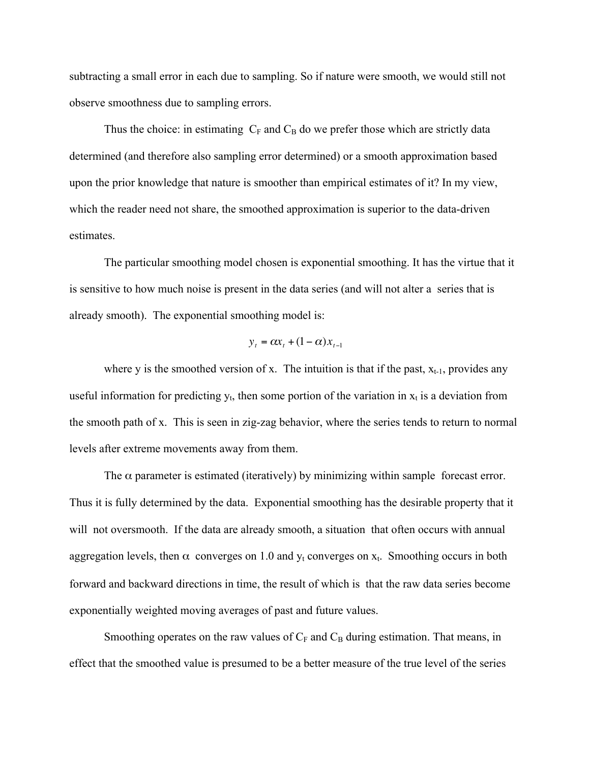subtracting a small error in each due to sampling. So if nature were smooth, we would still not observe smoothness due to sampling errors.

Thus the choice: in estimating  $C_F$  and  $C_B$  do we prefer those which are strictly data determined (and therefore also sampling error determined) or a smooth approximation based upon the prior knowledge that nature is smoother than empirical estimates of it? In my view, which the reader need not share, the smoothed approximation is superior to the data-driven estimates.

The particular smoothing model chosen is exponential smoothing. It has the virtue that it is sensitive to how much noise is present in the data series (and will not alter a series that is already smooth). The exponential smoothing model is:

$$
y_t = \alpha x_t + (1 - \alpha) x_{t-1}
$$

useful information for predicting  $y_t$ , then some portion of the variation in  $x_t$  is a deviation from where y is the smoothed version of x. The intuition is that if the past,  $x_{t-1}$ , provides any the smooth path of x. This is seen in zig-zag behavior, where the series tends to return to normal levels after extreme movements away from them.

The  $\alpha$  parameter is estimated (iteratively) by minimizing within sample forecast error. Thus it is fully determined by the data. Exponential smoothing has the desirable property that it will not oversmooth. If the data are already smooth, a situation that often occurs with annual aggregation levels, then  $\alpha$  converges on 1.0 and  $y_t$  converges on  $x_t$ . Smoothing occurs in both forward and backward directions in time, the result of which is that the raw data series become exponentially weighted moving averages of past and future values.

Smoothing operates on the raw values of  $C_F$  and  $C_B$  during estimation. That means, in effect that the smoothed value is presumed to be a better measure of the true level of the series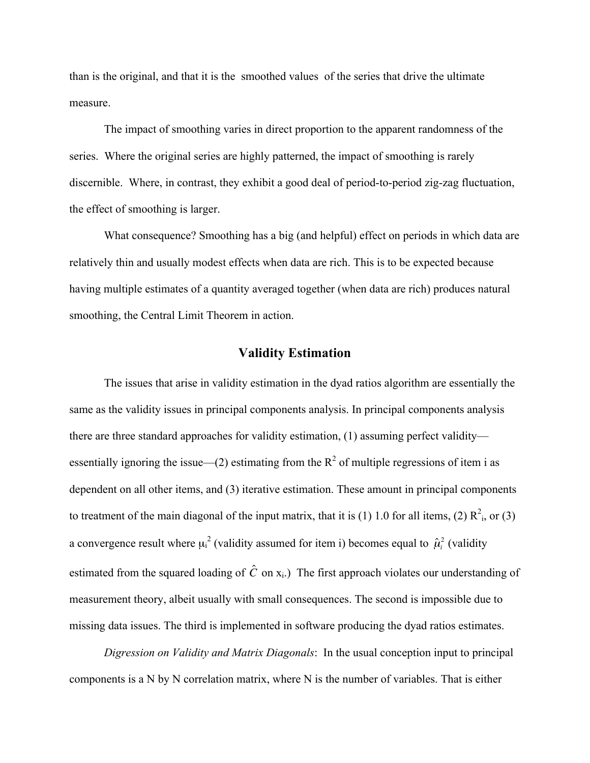than is the original, and that it is the smoothed values of the series that drive the ultimate measure.

The impact of smoothing varies in direct proportion to the apparent randomness of the series. Where the original series are highly patterned, the impact of smoothing is rarely discernible. Where, in contrast, they exhibit a good deal of period-to-period zig-zag fluctuation, the effect of smoothing is larger.

What consequence? Smoothing has a big (and helpful) effect on periods in which data are relatively thin and usually modest effects when data are rich. This is to be expected because having multiple estimates of a quantity averaged together (when data are rich) produces natural smoothing, the Central Limit Theorem in action.

# **Validity Estimation**

The issues that arise in validity estimation in the dyad ratios algorithm are essentially the same as the validity issues in principal components analysis. In principal components analysis there are three standard approaches for validity estimation, (1) assuming perfect validity essentially ignoring the issue—(2) estimating from the  $R^2$  of multiple regressions of item i as dependent on all other items, and (3) iterative estimation. These amount in principal components to treatment of the main diagonal of the input matrix, that it is (1) 1.0 for all items, (2)  $R^2$ <sub>i</sub>, or (3) a convergence result where  $\mu_i^2$  (validity assumed for item i) becomes equal to  $\hat{\mu}_i^2$  (validity measurement theory, albeit usually with small consequences. The second is impossible due to estimated from the squared loading of  $\hat{C}$  on  $x_i$ .) The first approach violates our understanding of missing data issues. The third is implemented in software producing the dyad ratios estimates.

*Digression on Validity and Matrix Diagonals*: In the usual conception input to principal components is a N by N correlation matrix, where N is the number of variables. That is either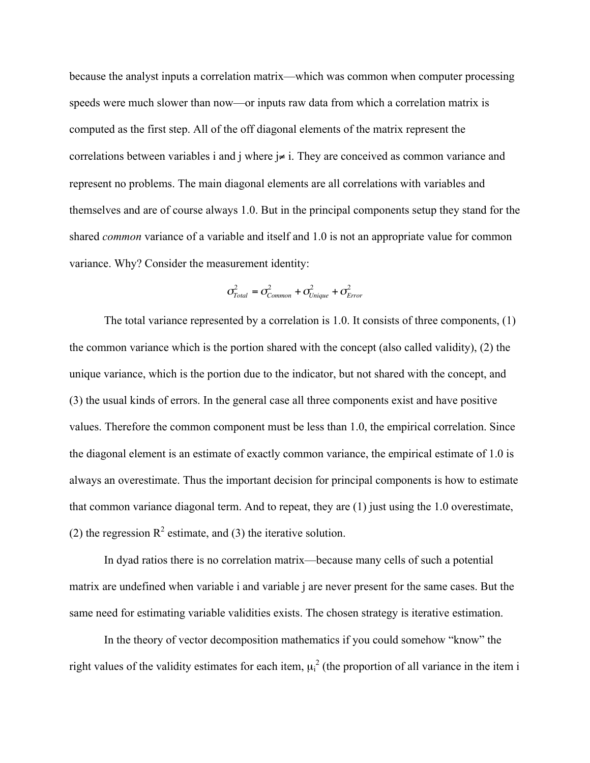because the analyst inputs a correlation matrix—which was common when computer processing speeds were much slower than now—or inputs raw data from which a correlation matrix is computed as the first step. All of the off diagonal elements of the matrix represent the correlations between variables i and j where j≠ i. They are conceived as common variance and represent no problems. The main diagonal elements are all correlations with variables and themselves and are of course always 1.0. But in the principal components setup they stand for the shared *common* variance of a variable and itself and 1.0 is not an appropriate value for common variance. Why? Consider the measurement identity:

$$
\sigma_{Total}^2 = \sigma_{Common}^2 + \sigma_{Unique}^2 + \sigma_{Error}^2
$$

the common variance which is the portion shared with the concept (also called validity), (2) the The total variance represented by a correlation is 1.0. It consists of three components, (1) unique variance, which is the portion due to the indicator, but not shared with the concept, and (3) the usual kinds of errors. In the general case all three components exist and have positive values. Therefore the common component must be less than 1.0, the empirical correlation. Since the diagonal element is an estimate of exactly common variance, the empirical estimate of 1.0 is always an overestimate. Thus the important decision for principal components is how to estimate that common variance diagonal term. And to repeat, they are (1) just using the 1.0 overestimate, (2) the regression  $R^2$  estimate, and (3) the iterative solution.

In dyad ratios there is no correlation matrix—because many cells of such a potential matrix are undefined when variable i and variable j are never present for the same cases. But the same need for estimating variable validities exists. The chosen strategy is iterative estimation.

In the theory of vector decomposition mathematics if you could somehow "know" the right values of the validity estimates for each item,  $\mu_i^2$  (the proportion of all variance in the item i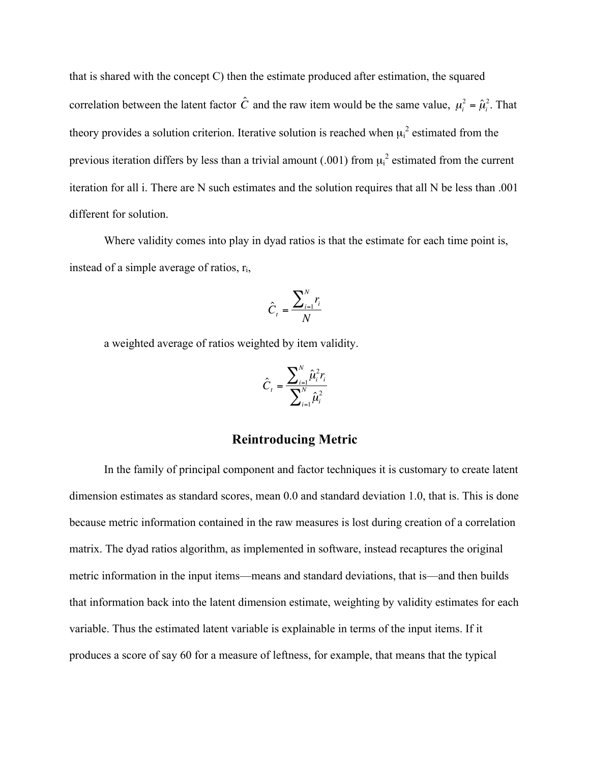that is shared with the concept C) then the estimate produced after estimation, the squared correlation between the latent factor  $\hat{C}$  and the raw item would be the same value,  $\mu_i^2 = \hat{\mu}_i^2$ . That previous iteration differs by less than a trivial amount (.001) from  $\mu_i^2$  estimated from the current theory provides a solution criterion. Iterative solution is reached when  $\mu_i^2$  estimated from the iteration for all i. There are N such estimates and the solution requires that all N be less than .001 different for solution.

Where validity comes into play in dyad ratios is that the estimate for each time point is, instead of a simple average of ratios,  $r_i$ ,

$$
\hat{C}_t = \frac{\sum_{i=1}^N r_i}{N}
$$

a weighted average of ratios weighted by item validity.

$$
\hat{C}_t = \frac{\sum_{i=1}^{N} \hat{\mu}_i^2 r_i}{\sum_{i=1}^{N} \hat{\mu}_i^2}
$$

# **Reintroducing Metric**

In the family of principal component and factor techniques it is customary to create latent dimension estimates as standard scores, mean 0.0 and standard deviation 1.0, that is. This is done because metric information contained in the raw measures is lost during creation of a correlation matrix. The dyad ratios algorithm, as implemented in software, instead recaptures the original metric information in the input items—means and standard deviations, that is—and then builds that information back into the latent dimension estimate, weighting by validity estimates for each variable. Thus the estimated latent variable is explainable in terms of the input items. If it produces a score of say 60 for a measure of leftness, for example, that means that the typical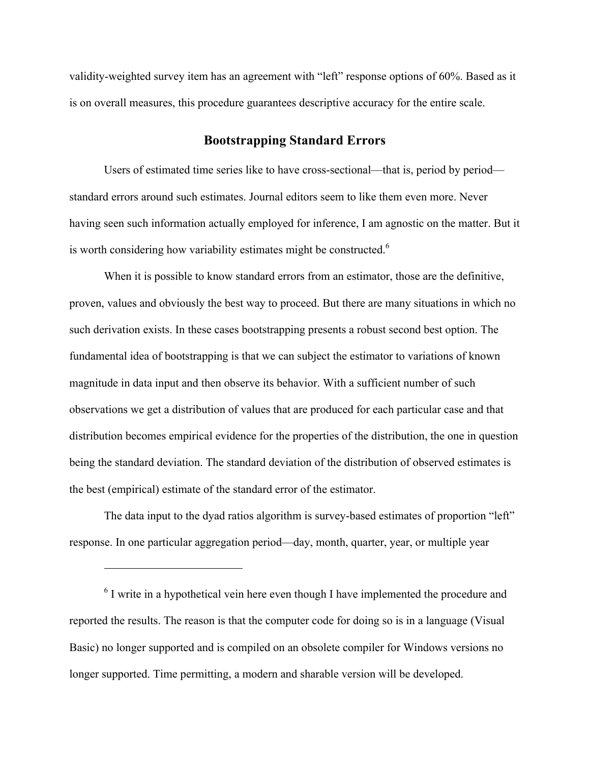validity-weighted survey item has an agreement with "left" response options of 60%. Based as it is on overall measures, this procedure guarantees descriptive accuracy for the entire scale.

# **Bootstrapping Standard Errors**

Users of estimated time series like to have cross-sectional—that is, period by period standard errors around such estimates. Journal editors seem to like them even more. Never having seen such information actually employed for inference, I am agnostic on the matter. But it is worth considering how variability estimates might be constructed.<sup> $6$ </sup>

When it is possible to know standard errors from an estimator, those are the definitive, proven, values and obviously the best way to proceed. But there are many situations in which no such derivation exists. In these cases bootstrapping presents a robust second best option. The fundamental idea of bootstrapping is that we can subject the estimator to variations of known magnitude in data input and then observe its behavior. With a sufficient number of such observations we get a distribution of values that are produced for each particular case and that distribution becomes empirical evidence for the properties of the distribution, the one in question being the standard deviation. The standard deviation of the distribution of observed estimates is the best (empirical) estimate of the standard error of the estimator.

The data input to the dyad ratios algorithm is survey-based estimates of proportion "left" response. In one particular aggregation period—day, month, quarter, year, or multiple year

 $6$  I write in a hypothetical vein here even though I have implemented the procedure and reported the results. The reason is that the computer code for doing so is in a language (Visual Basic) no longer supported and is compiled on an obsolete compiler for Windows versions no longer supported. Time permitting, a modern and sharable version will be developed.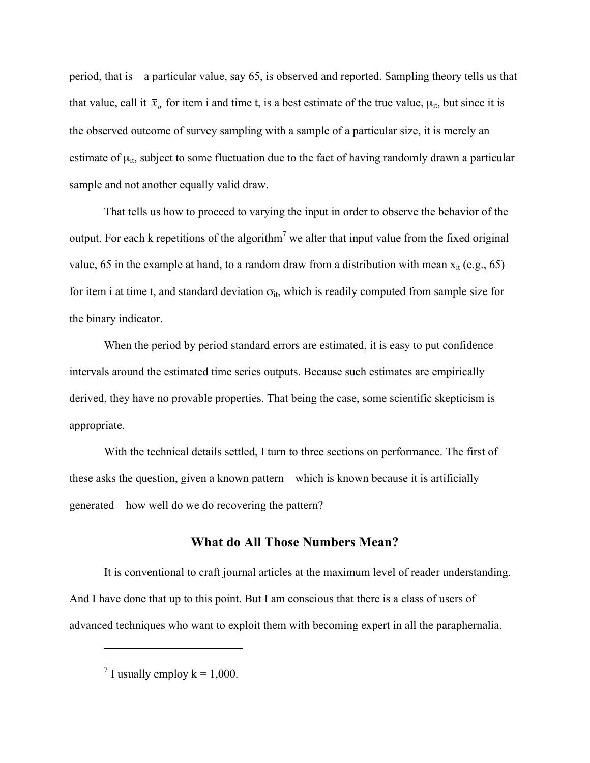period, that is—a particular value, say 65, is observed and reported. Sampling theory tells us that that value, call it  $\bar{x}_{it}$  for item i and time t, is a best estimate of the true value,  $\mu_{it}$ , but since it is estimate of  $\mu_{it}$ , subject to some fluctuation due to the fact of having randomly drawn a particular the observed outcome of survey sampling with a sample of a particular size, it is merely an sample and not another equally valid draw.

That tells us how to proceed to varying the input in order to observe the behavior of the output. For each k repetitions of the algorithm<sup>7</sup> we alter that input value from the fixed original value, 65 in the example at hand, to a random draw from a distribution with mean  $x_{it}$  (e.g., 65) for item i at time t, and standard deviation  $\sigma_{it}$ , which is readily computed from sample size for the binary indicator.

When the period by period standard errors are estimated, it is easy to put confidence intervals around the estimated time series outputs. Because such estimates are empirically derived, they have no provable properties. That being the case, some scientific skepticism is appropriate.

With the technical details settled, I turn to three sections on performance. The first of these asks the question, given a known pattern—which is known because it is artificially generated—how well do we do recovering the pattern?

# **What do All Those Numbers Mean?**

It is conventional to craft journal articles at the maximum level of reader understanding. And I have done that up to this point. But I am conscious that there is a class of users of advanced techniques who want to exploit them with becoming expert in all the paraphernalia.

<sup>&</sup>lt;sup>7</sup> I usually employ  $k = 1,000$ .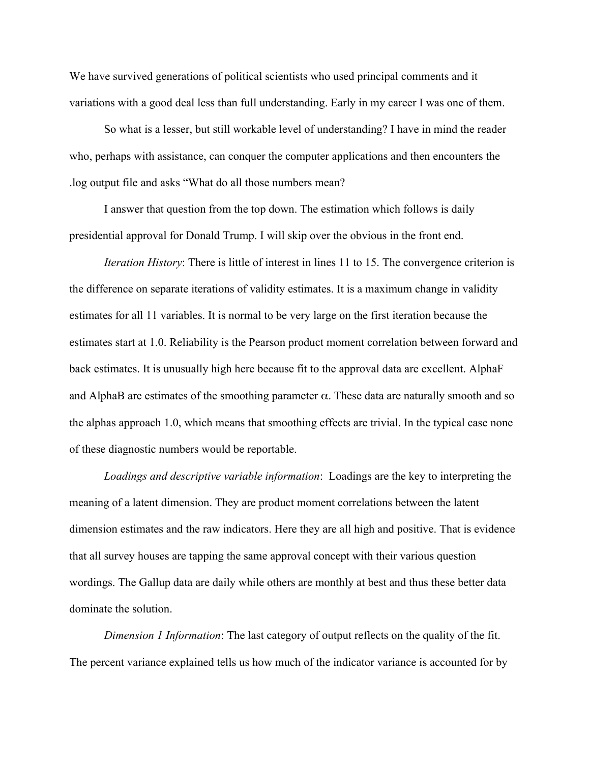We have survived generations of political scientists who used principal comments and it variations with a good deal less than full understanding. Early in my career I was one of them.

So what is a lesser, but still workable level of understanding? I have in mind the reader who, perhaps with assistance, can conquer the computer applications and then encounters the .log output file and asks "What do all those numbers mean?

I answer that question from the top down. The estimation which follows is daily presidential approval for Donald Trump. I will skip over the obvious in the front end.

*Iteration History*: There is little of interest in lines 11 to 15. The convergence criterion is the difference on separate iterations of validity estimates. It is a maximum change in validity estimates for all 11 variables. It is normal to be very large on the first iteration because the estimates start at 1.0. Reliability is the Pearson product moment correlation between forward and back estimates. It is unusually high here because fit to the approval data are excellent. AlphaF and AlphaB are estimates of the smoothing parameter  $\alpha$ . These data are naturally smooth and so the alphas approach 1.0, which means that smoothing effects are trivial. In the typical case none of these diagnostic numbers would be reportable.

*Loadings and descriptive variable information*: Loadings are the key to interpreting the meaning of a latent dimension. They are product moment correlations between the latent dimension estimates and the raw indicators. Here they are all high and positive. That is evidence that all survey houses are tapping the same approval concept with their various question wordings. The Gallup data are daily while others are monthly at best and thus these better data dominate the solution.

*Dimension 1 Information*: The last category of output reflects on the quality of the fit. The percent variance explained tells us how much of the indicator variance is accounted for by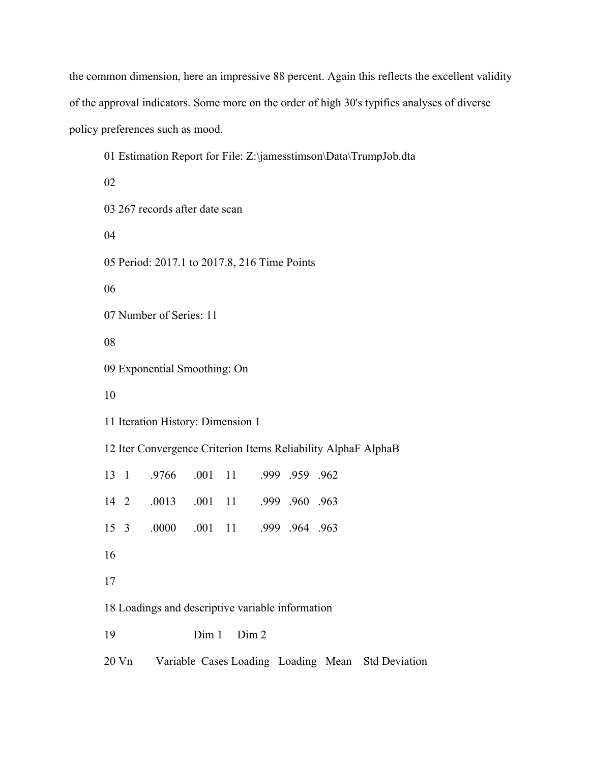the common dimension, here an impressive 88 percent. Again this reflects the excellent validity of the approval indicators. Some more on the order of high 30's typifies analyses of diverse policy preferences such as mood.

| 01 Estimation Report for File: Z:\jamesstimson\Data\TrumpJob.dta |  |  |  |  |  |  |
|------------------------------------------------------------------|--|--|--|--|--|--|
| 02                                                               |  |  |  |  |  |  |
| 03 267 records after date scan                                   |  |  |  |  |  |  |
| 04                                                               |  |  |  |  |  |  |
| 05 Period: 2017.1 to 2017.8, 216 Time Points                     |  |  |  |  |  |  |
| 06                                                               |  |  |  |  |  |  |
| 07 Number of Series: 11                                          |  |  |  |  |  |  |
| 08                                                               |  |  |  |  |  |  |
| 09 Exponential Smoothing: On                                     |  |  |  |  |  |  |
| 10                                                               |  |  |  |  |  |  |
| 11 Iteration History: Dimension 1                                |  |  |  |  |  |  |
| 12 Iter Convergence Criterion Items Reliability AlphaF AlphaB    |  |  |  |  |  |  |
| .001<br>.9766<br>11<br>.999 .959 .962<br>13 1                    |  |  |  |  |  |  |
| 11<br>.0013<br>.001<br>.999 .960 .963<br>14 2                    |  |  |  |  |  |  |
| .0000<br>.001<br>11<br>15 <sup>3</sup><br>.999 .964 .963         |  |  |  |  |  |  |
| 16                                                               |  |  |  |  |  |  |
| 17                                                               |  |  |  |  |  |  |
| 18 Loadings and descriptive variable information                 |  |  |  |  |  |  |
| Dim 1<br>Dim 2<br>19                                             |  |  |  |  |  |  |
| Variable Cases Loading Loading Mean Std Deviation<br>20 Vn       |  |  |  |  |  |  |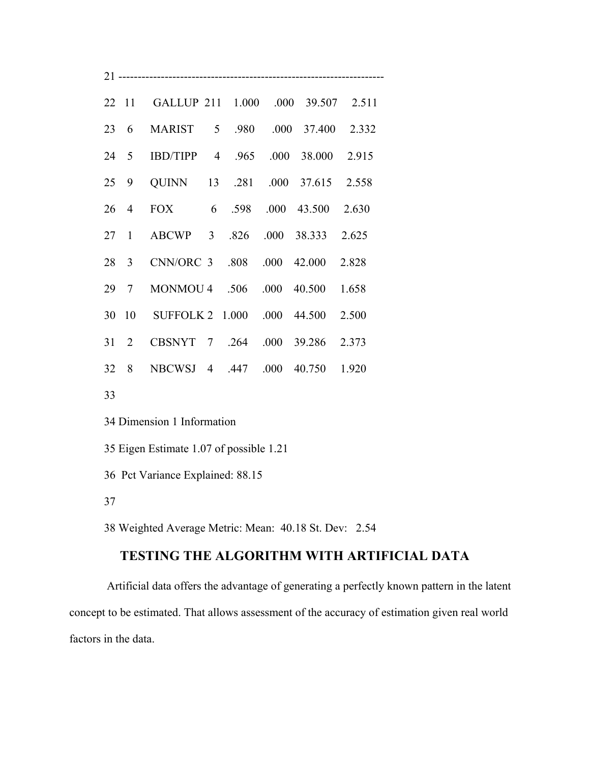|  | 22 11 GALLUP 211 1.000 .000 39.507 2.511 |  |  |  |
|--|------------------------------------------|--|--|--|
|  | 23 6 MARIST 5 .980 .000 37.400 2.332     |  |  |  |
|  | 24 5 IBD/TIPP 4 .965 .000 38.000 2.915   |  |  |  |
|  | 25 9 QUINN 13 .281 .000 37.615 2.558     |  |  |  |
|  | 26 4 FOX 6 .598 .000 43.500 2.630        |  |  |  |
|  | 27 1 ABCWP 3 .826 .000 38.333 2.625      |  |  |  |
|  | 28 3 CNN/ORC 3 .808 .000 42.000 2.828    |  |  |  |
|  | 29 7 MONMOU 4 .506 .000 40.500 1.658     |  |  |  |
|  | 30 10 SUFFOLK 2 1.000 .000 44.500 2.500  |  |  |  |
|  | 31 2 CBSNYT 7 .264 .000 39.286 2.373     |  |  |  |
|  | 32 8 NBCWSJ 4 .447 .000 40.750 1.920     |  |  |  |
|  |                                          |  |  |  |

33

34 Dimension 1 Information

35 Eigen Estimate 1.07 of possible 1.21

36 Pct Variance Explained: 88.15

37

38 Weighted Average Metric: Mean: 40.18 St. Dev: 2.54

# **TESTING THE ALGORITHM WITH ARTIFICIAL DATA**

 Artificial data offers the advantage of generating a perfectly known pattern in the latent concept to be estimated. That allows assessment of the accuracy of estimation given real world factors in the data.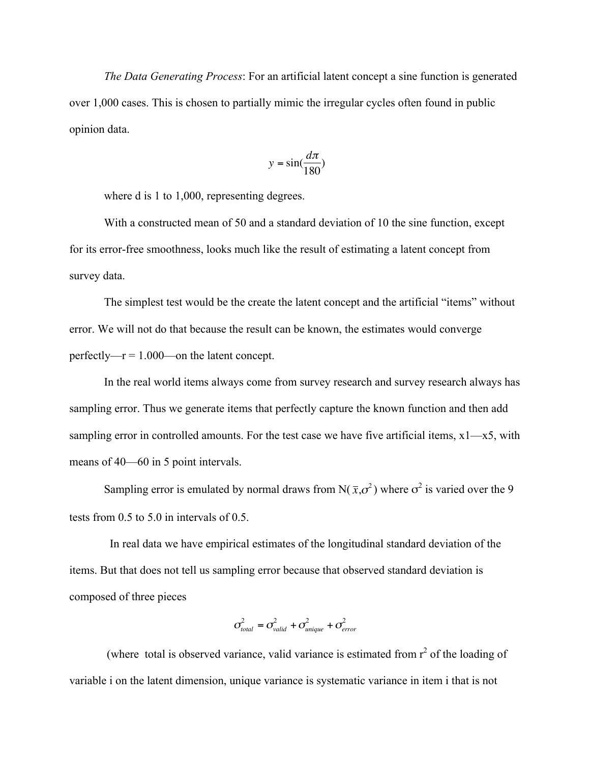*The Data Generating Process*: For an artificial latent concept a sine function is generated over 1,000 cases. This is chosen to partially mimic the irregular cycles often found in public opinion data.

$$
y = \sin(\frac{d\pi}{180})
$$

where d is 1 to 1,000, representing degrees.

With a constructed mean of 50 and a standard deviation of 10 the sine function, except for its error-free smoothness, looks much like the result of estimating a latent concept from survey data.

The simplest test would be the create the latent concept and the artificial "items" without error. We will not do that because the result can be known, the estimates would converge perfectly— $r = 1.000$ —on the latent concept.

In the real world items always come from survey research and survey research always has sampling error. Thus we generate items that perfectly capture the known function and then add sampling error in controlled amounts. For the test case we have five artificial items,  $x1-x5$ , with means of 40—60 in 5 point intervals.

Sampling error is emulated by normal draws from  $N(\bar{x}, \sigma^2)$  where  $\sigma^2$  is varied over the 9 tests from 0.5 to 5.0 in intervals of 0.5.

In real data we have empirical estimates of the longitudinal standard deviation of the items. But that does not tell us sampling error because that observed standard deviation is composed of three pieces

$$
\sigma_{total}^2 = \sigma_{valid}^2 + \sigma_{unique}^2 + \sigma_{error}^2
$$

variable i on the latent dimension, unique variance is systematic variance in item i that is not (where total is observed variance, valid variance is estimated from  $r^2$  of the loading of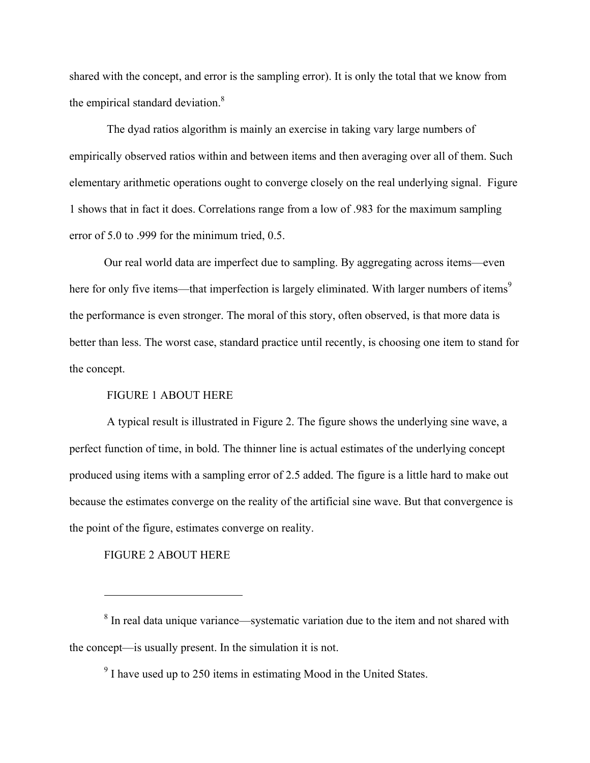shared with the concept, and error is the sampling error). It is only the total that we know from the empirical standard deviation.<sup>8</sup>

 The dyad ratios algorithm is mainly an exercise in taking vary large numbers of empirically observed ratios within and between items and then averaging over all of them. Such elementary arithmetic operations ought to converge closely on the real underlying signal. Figure 1 shows that in fact it does. Correlations range from a low of .983 for the maximum sampling error of 5.0 to .999 for the minimum tried, 0.5.

Our real world data are imperfect due to sampling. By aggregating across items—even here for only five items—that imperfection is largely eliminated. With larger numbers of items<sup>9</sup> the performance is even stronger. The moral of this story, often observed, is that more data is better than less. The worst case, standard practice until recently, is choosing one item to stand for the concept.

### FIGURE 1 ABOUT HERE

 A typical result is illustrated in Figure 2. The figure shows the underlying sine wave, a perfect function of time, in bold. The thinner line is actual estimates of the underlying concept produced using items with a sampling error of 2.5 added. The figure is a little hard to make out because the estimates converge on the reality of the artificial sine wave. But that convergence is the point of the figure, estimates converge on reality.

### FIGURE 2 ABOUT HERE

 $8 \text{ In real data unique variance—systematic variation due to the item and not shared with }$ the concept—is usually present. In the simulation it is not.

 $9<sup>9</sup>$  I have used up to 250 items in estimating Mood in the United States.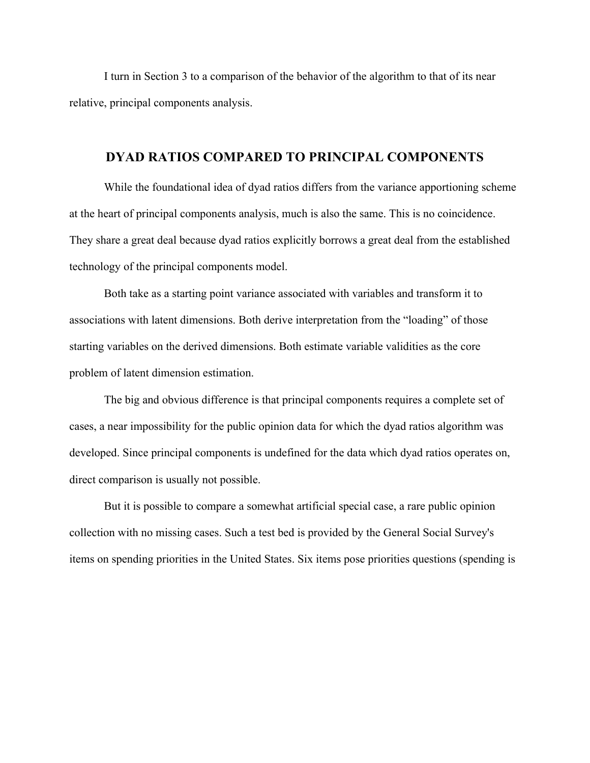I turn in Section 3 to a comparison of the behavior of the algorithm to that of its near relative, principal components analysis.

# **DYAD RATIOS COMPARED TO PRINCIPAL COMPONENTS**

While the foundational idea of dyad ratios differs from the variance apportioning scheme at the heart of principal components analysis, much is also the same. This is no coincidence. They share a great deal because dyad ratios explicitly borrows a great deal from the established technology of the principal components model.

Both take as a starting point variance associated with variables and transform it to associations with latent dimensions. Both derive interpretation from the "loading" of those starting variables on the derived dimensions. Both estimate variable validities as the core problem of latent dimension estimation.

The big and obvious difference is that principal components requires a complete set of cases, a near impossibility for the public opinion data for which the dyad ratios algorithm was developed. Since principal components is undefined for the data which dyad ratios operates on, direct comparison is usually not possible.

But it is possible to compare a somewhat artificial special case, a rare public opinion collection with no missing cases. Such a test bed is provided by the General Social Survey's items on spending priorities in the United States. Six items pose priorities questions (spending is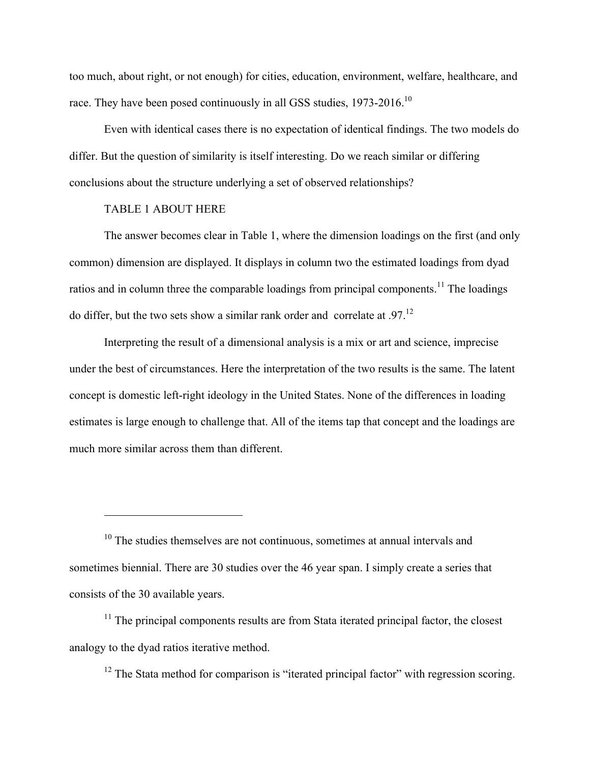too much, about right, or not enough) for cities, education, environment, welfare, healthcare, and race. They have been posed continuously in all GSS studies, 1973-2016.<sup>10</sup>

Even with identical cases there is no expectation of identical findings. The two models do differ. But the question of similarity is itself interesting. Do we reach similar or differing conclusions about the structure underlying a set of observed relationships?

### TABLE 1 ABOUT HERE

 $\overline{a}$ 

The answer becomes clear in Table 1, where the dimension loadings on the first (and only common) dimension are displayed. It displays in column two the estimated loadings from dyad ratios and in column three the comparable loadings from principal components.<sup>11</sup> The loadings do differ, but the two sets show a similar rank order and correlate at .97.12

Interpreting the result of a dimensional analysis is a mix or art and science, imprecise under the best of circumstances. Here the interpretation of the two results is the same. The latent concept is domestic left-right ideology in the United States. None of the differences in loading estimates is large enough to challenge that. All of the items tap that concept and the loadings are much more similar across them than different.

 $10$  The studies themselves are not continuous, sometimes at annual intervals and sometimes biennial. There are 30 studies over the 46 year span. I simply create a series that consists of the 30 available years.

 $11$  The principal components results are from Stata iterated principal factor, the closest analogy to the dyad ratios iterative method.

 $12$  The Stata method for comparison is "iterated principal factor" with regression scoring.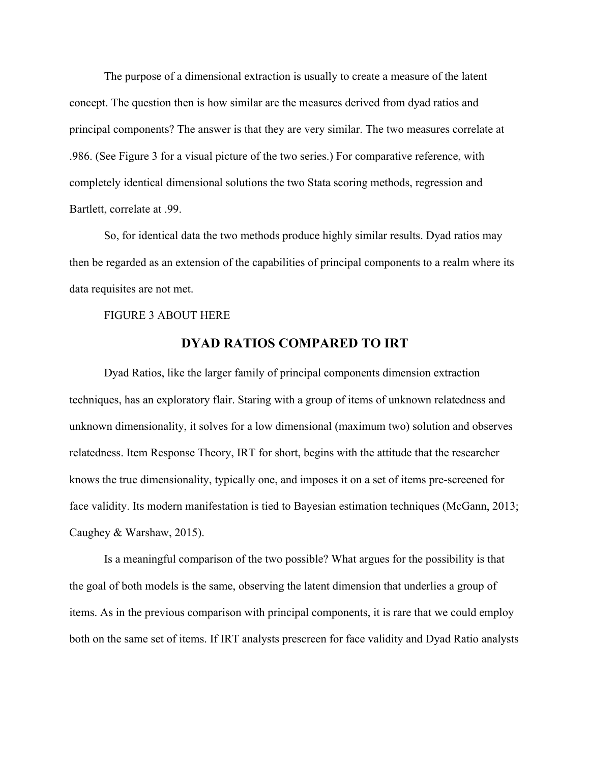The purpose of a dimensional extraction is usually to create a measure of the latent concept. The question then is how similar are the measures derived from dyad ratios and principal components? The answer is that they are very similar. The two measures correlate at .986. (See Figure 3 for a visual picture of the two series.) For comparative reference, with completely identical dimensional solutions the two Stata scoring methods, regression and Bartlett, correlate at .99.

So, for identical data the two methods produce highly similar results. Dyad ratios may then be regarded as an extension of the capabilities of principal components to a realm where its data requisites are not met.

#### FIGURE 3 ABOUT HERE

### **DYAD RATIOS COMPARED TO IRT**

Dyad Ratios, like the larger family of principal components dimension extraction techniques, has an exploratory flair. Staring with a group of items of unknown relatedness and unknown dimensionality, it solves for a low dimensional (maximum two) solution and observes relatedness. Item Response Theory, IRT for short, begins with the attitude that the researcher knows the true dimensionality, typically one, and imposes it on a set of items pre-screened for face validity. Its modern manifestation is tied to Bayesian estimation techniques (McGann, 2013; Caughey & Warshaw, 2015).

Is a meaningful comparison of the two possible? What argues for the possibility is that the goal of both models is the same, observing the latent dimension that underlies a group of items. As in the previous comparison with principal components, it is rare that we could employ both on the same set of items. If IRT analysts prescreen for face validity and Dyad Ratio analysts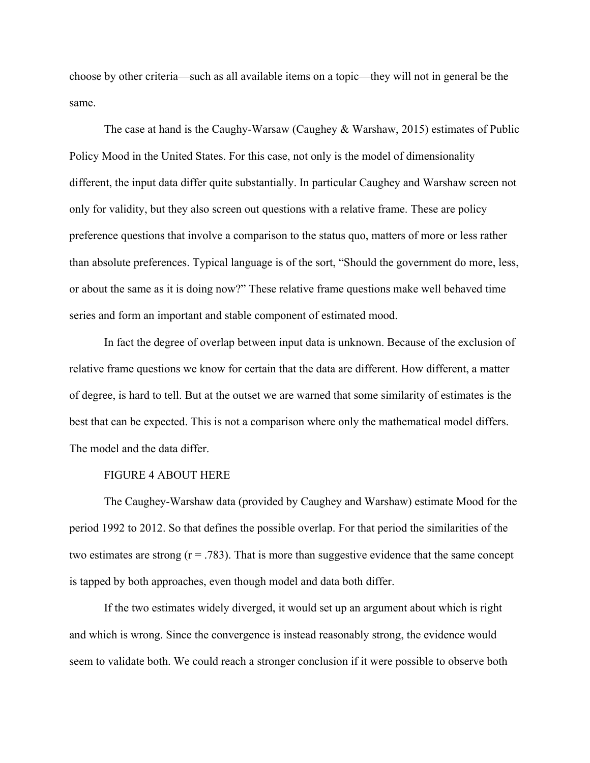choose by other criteria—such as all available items on a topic—they will not in general be the same.

The case at hand is the Caughy-Warsaw (Caughey & Warshaw, 2015) estimates of Public Policy Mood in the United States. For this case, not only is the model of dimensionality different, the input data differ quite substantially. In particular Caughey and Warshaw screen not only for validity, but they also screen out questions with a relative frame. These are policy preference questions that involve a comparison to the status quo, matters of more or less rather than absolute preferences. Typical language is of the sort, "Should the government do more, less, or about the same as it is doing now?" These relative frame questions make well behaved time series and form an important and stable component of estimated mood.

In fact the degree of overlap between input data is unknown. Because of the exclusion of relative frame questions we know for certain that the data are different. How different, a matter of degree, is hard to tell. But at the outset we are warned that some similarity of estimates is the best that can be expected. This is not a comparison where only the mathematical model differs. The model and the data differ.

### FIGURE 4 ABOUT HERE

The Caughey-Warshaw data (provided by Caughey and Warshaw) estimate Mood for the period 1992 to 2012. So that defines the possible overlap. For that period the similarities of the two estimates are strong  $(r = .783)$ . That is more than suggestive evidence that the same concept is tapped by both approaches, even though model and data both differ.

If the two estimates widely diverged, it would set up an argument about which is right and which is wrong. Since the convergence is instead reasonably strong, the evidence would seem to validate both. We could reach a stronger conclusion if it were possible to observe both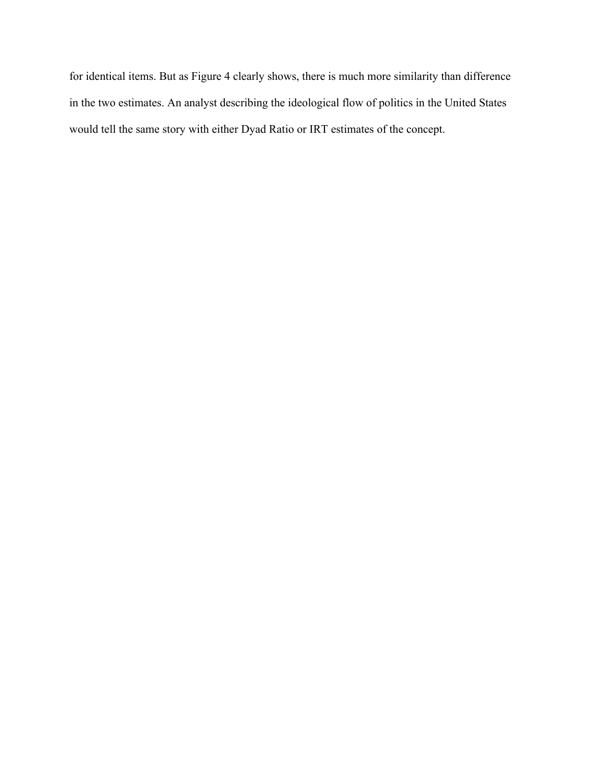for identical items. But as Figure 4 clearly shows, there is much more similarity than difference in the two estimates. An analyst describing the ideological flow of politics in the United States would tell the same story with either Dyad Ratio or IRT estimates of the concept.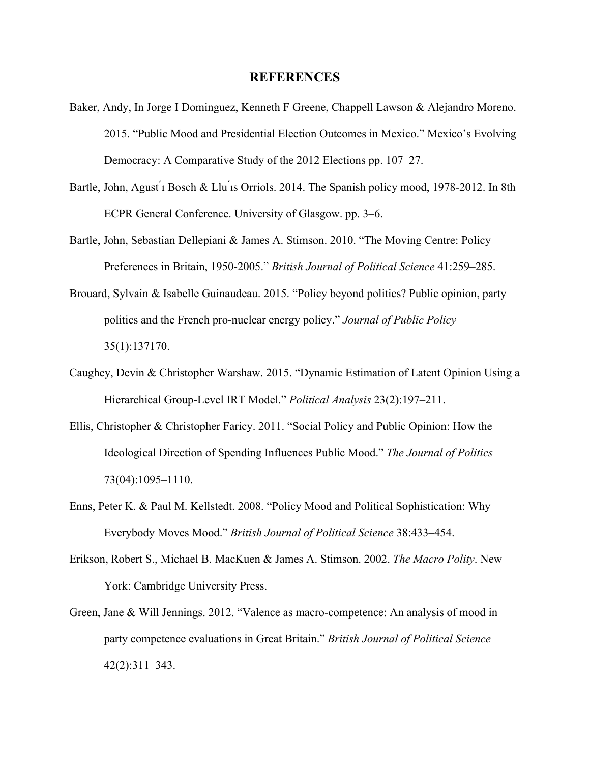### **REFERENCES**

- Baker, Andy, In Jorge I Dominguez, Kenneth F Greene, Chappell Lawson & Alejandro Moreno. 2015. "Public Mood and Presidential Election Outcomes in Mexico." Mexico's Evolving Democracy: A Comparative Study of the 2012 Elections pp. 107–27.
- Bartle, John, Agust i Bosch & Llu is Orriols. 2014. The Spanish policy mood, 1978-2012. In 8th ECPR General Conference. University of Glasgow. pp. 3–6.
- Bartle, John, Sebastian Dellepiani & James A. Stimson. 2010. "The Moving Centre: Policy Preferences in Britain, 1950-2005." *British Journal of Political Science* 41:259–285.
- Brouard, Sylvain & Isabelle Guinaudeau. 2015. "Policy beyond politics? Public opinion, party politics and the French pro-nuclear energy policy." *Journal of Public Policy* 35(1):137170.
- Caughey, Devin & Christopher Warshaw. 2015. "Dynamic Estimation of Latent Opinion Using a Hierarchical Group-Level IRT Model." *Political Analysis* 23(2):197–211.
- Ellis, Christopher & Christopher Faricy. 2011. "Social Policy and Public Opinion: How the Ideological Direction of Spending Influences Public Mood." *The Journal of Politics* 73(04):1095–1110.
- Enns, Peter K. & Paul M. Kellstedt. 2008. "Policy Mood and Political Sophistication: Why Everybody Moves Mood." *British Journal of Political Science* 38:433–454.
- Erikson, Robert S., Michael B. MacKuen & James A. Stimson. 2002. *The Macro Polity*. New York: Cambridge University Press.
- Green, Jane & Will Jennings. 2012. "Valence as macro-competence: An analysis of mood in party competence evaluations in Great Britain." *British Journal of Political Science* 42(2):311–343.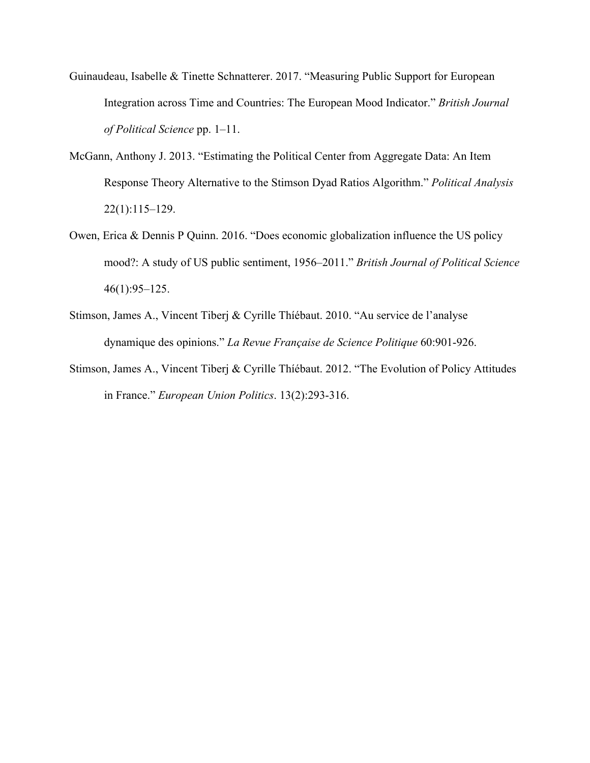- Guinaudeau, Isabelle & Tinette Schnatterer. 2017. "Measuring Public Support for European Integration across Time and Countries: The European Mood Indicator." *British Journal of Political Science* pp. 1–11.
- McGann, Anthony J. 2013. "Estimating the Political Center from Aggregate Data: An Item Response Theory Alternative to the Stimson Dyad Ratios Algorithm." *Political Analysis* 22(1):115–129.
- Owen, Erica & Dennis P Quinn. 2016. "Does economic globalization influence the US policy mood?: A study of US public sentiment, 1956–2011." *British Journal of Political Science* 46(1):95–125.
- Stimson, James A., Vincent Tiberj & Cyrille Thíébaut. 2010. "Au service de l'analyse dynamique des opinions." *La Revue Française de Science Politique* 60:901-926.
- Stimson, James A., Vincent Tiberj & Cyrille Thíébaut. 2012. "The Evolution of Policy Attitudes in France." *European Union Politics*. 13(2):293-316.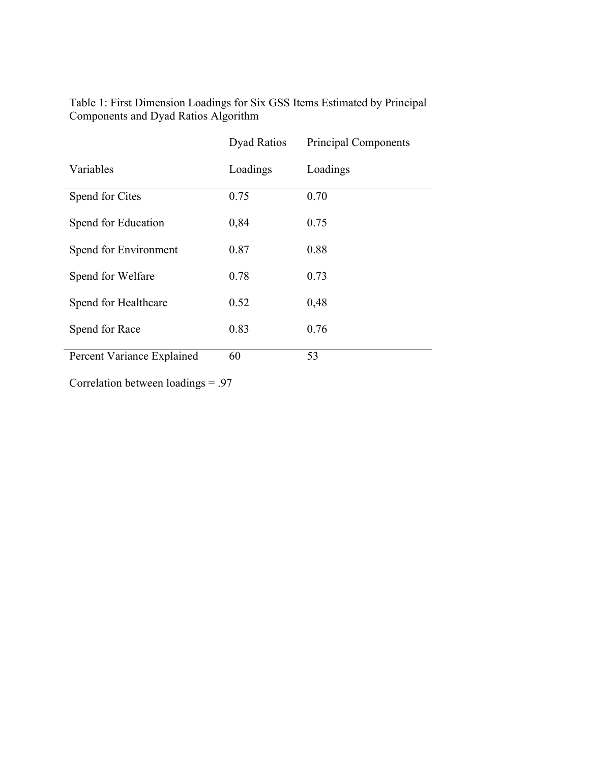|                            | <b>Dyad Ratios</b> | <b>Principal Components</b> |
|----------------------------|--------------------|-----------------------------|
| Variables                  | Loadings           | Loadings                    |
| Spend for Cites            | 0.75               | 0.70                        |
| Spend for Education        | 0,84               | 0.75                        |
| Spend for Environment      | 0.87               | 0.88                        |
| Spend for Welfare          | 0.78               | 0.73                        |
| Spend for Healthcare       | 0.52               | 0,48                        |
| Spend for Race             | 0.83               | 0.76                        |
| Percent Variance Explained | 60                 | 53                          |

Table 1: First Dimension Loadings for Six GSS Items Estimated by Principal Components and Dyad Ratios Algorithm

Correlation between loadings = .97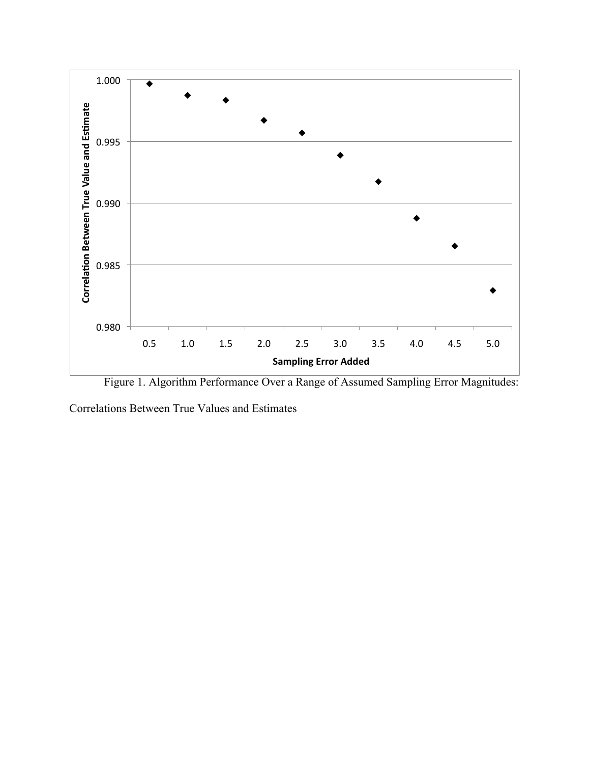

Figure 1. Algorithm Performance Over a Range of Assumed Sampling Error Magnitudes:

Correlations Between True Values and Estimates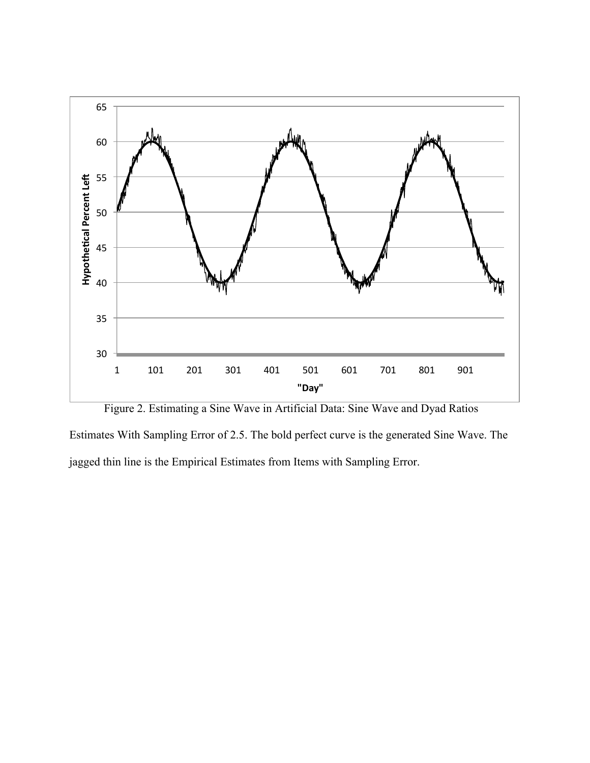

Figure 2. Estimating a Sine Wave in Artificial Data: Sine Wave and Dyad Ratios Estimates With Sampling Error of 2.5. The bold perfect curve is the generated Sine Wave. The jagged thin line is the Empirical Estimates from Items with Sampling Error.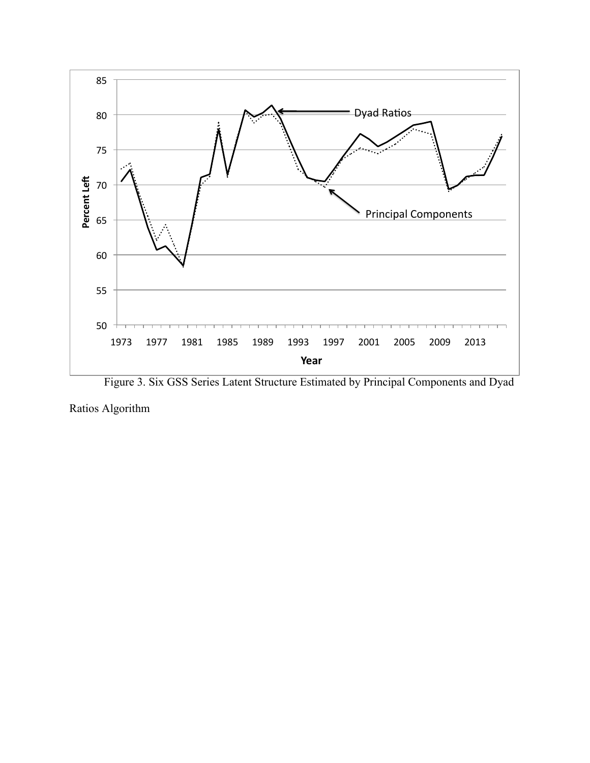

Figure 3. Six GSS Series Latent Structure Estimated by Principal Components and Dyad

Ratios Algorithm